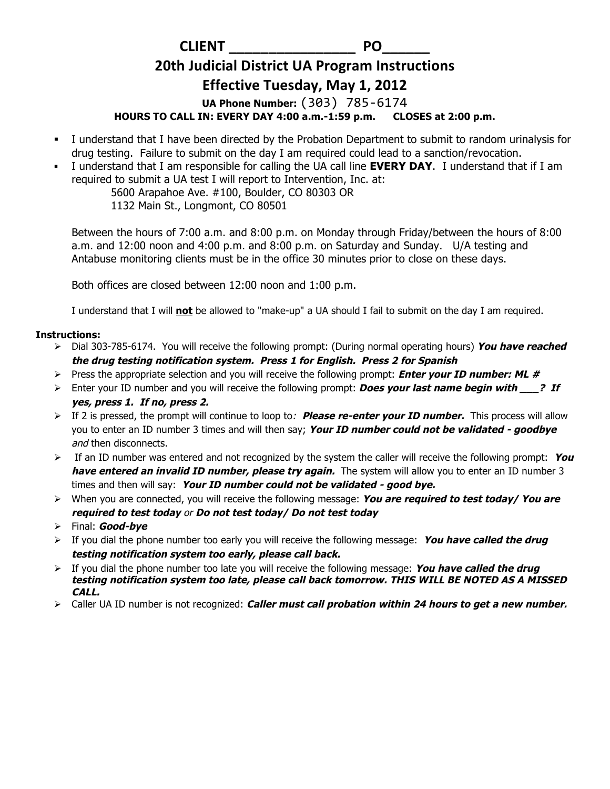**CLIENT** PO

## **20th Judicial District UA Program Instructions**

## **Effective Tuesday, May 1, 2012**

**UA Phone Number:** (303) 785-6174 

**HOURS TO CALL IN: EVERY DAY 4:00 a.m.-1:59 p.m. CLOSES at 2:00 p.m.**

- § I understand that I have been directed by the Probation Department to submit to random urinalysis for drug testing. Failure to submit on the day I am required could lead to a sanction/revocation.
- § I understand that I am responsible for calling the UA call line **EVERY DAY**. I understand that if I am required to submit a UA test I will report to Intervention, Inc. at:

5600 Arapahoe Ave. #100, Boulder, CO 80303 OR 1132 Main St., Longmont, CO 80501

Between the hours of 7:00 a.m. and 8:00 p.m. on Monday through Friday/between the hours of 8:00 a.m. and 12:00 noon and 4:00 p.m. and 8:00 p.m. on Saturday and Sunday. U/A testing and Antabuse monitoring clients must be in the office 30 minutes prior to close on these days.

Both offices are closed between 12:00 noon and 1:00 p.m.

I understand that I will **not** be allowed to "make-up" a UA should I fail to submit on the day I am required.

## **Instructions:**

- Ø Dial 303-785-6174. You will receive the following prompt: (During normal operating hours) **You have reached the drug testing notification system. Press 1 for English. Press 2 for Spanish**
- Ø Press the appropriate selection and you will receive the following prompt: **Enter your ID number: ML #**
- Ø Enter your ID number and you will receive the following prompt: **Does your last name begin with \_\_\_? If yes, press 1. If no, press 2.**
- Ø If 2 is pressed, the prompt will continue to loop to: **Please re-enter your ID number.** This process will allow you to enter an ID number 3 times and will then say; **Your ID number could not be validated - goodbye** and then disconnects.
- $\triangleright$  If an ID number was entered and not recognized by the system the caller will receive the following prompt: You **have entered an invalid ID number, please try again.** The system will allow you to enter an ID number 3 times and then will say: **Your ID number could not be validated - good bye.**
- Ø When you are connected, you will receive the following message: **You are required to test today/ You are required to test today** or **Do not test today/ Do not test today**
- Ø Final: **Good-bye**
- $\triangleright$  If you dial the phone number too early you will receive the following message: You have called the drug **testing notification system too early, please call back.**
- $\triangleright$  If you dial the phone number too late you will receive the following message: **You have called the drug testing notification system too late, please call back tomorrow. THIS WILL BE NOTED AS A MISSED CALL.**
- Ø Caller UA ID number is not recognized: **Caller must call probation within 24 hours to get a new number.**